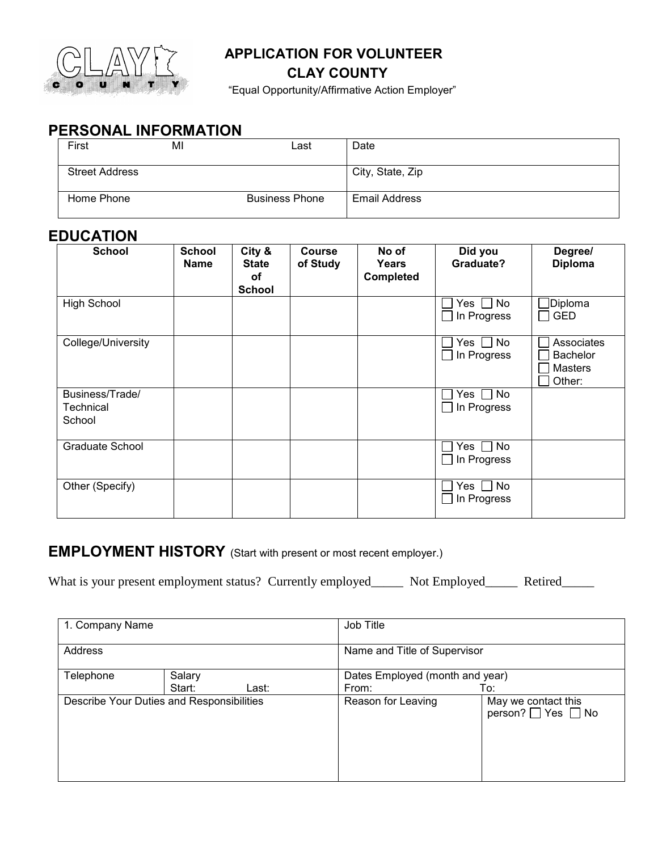

### **APPLICATION FOR VOLUNTEER**

### **CLAY COUNTY**

"Equal Opportunity/Affirmative Action Employer"

# **PERSONAL INFORMATION**

| First                 | MI | Last                  | Date                 |
|-----------------------|----|-----------------------|----------------------|
| <b>Street Address</b> |    |                       | City, State, Zip     |
| Home Phone            |    | <b>Business Phone</b> | <b>Email Address</b> |

## **EDUCATION**

| <b>School</b>                          | <b>School</b><br><b>Name</b> | City &<br><b>State</b><br>οf<br><b>School</b> | <b>Course</b><br>of Study | No of<br>Years<br>Completed | Did you<br>Graduate?              | Degree/<br><b>Diploma</b>                                 |
|----------------------------------------|------------------------------|-----------------------------------------------|---------------------------|-----------------------------|-----------------------------------|-----------------------------------------------------------|
| <b>High School</b>                     |                              |                                               |                           |                             | No<br>Yes II<br>In Progress       | Diploma]<br><b>GED</b>                                    |
| College/University                     |                              |                                               |                           |                             | Yes $\Box$ No<br>In Progress      | Associates<br><b>Bachelor</b><br><b>Masters</b><br>Other: |
| Business/Trade/<br>Technical<br>School |                              |                                               |                           |                             | $\Box$ No<br>Yes  <br>In Progress |                                                           |
| <b>Graduate School</b>                 |                              |                                               |                           |                             | Yes $\Box$ No<br>In Progress      |                                                           |
| Other (Specify)                        |                              |                                               |                           |                             | $Yes \Box No$<br>In Progress      |                                                           |

## **EMPLOYMENT HISTORY** (Start with present or most recent employer.)

What is your present employment status? Currently employed\_\_\_\_\_ Not Employed\_\_\_\_\_ Retired\_\_\_\_\_

| 1. Company Name                           |        | Job Title                    |                                 |                                           |
|-------------------------------------------|--------|------------------------------|---------------------------------|-------------------------------------------|
| Address                                   |        | Name and Title of Supervisor |                                 |                                           |
| Telephone                                 | Salary |                              | Dates Employed (month and year) |                                           |
|                                           | Start: | Last:                        | From:<br>To:                    |                                           |
| Describe Your Duties and Responsibilities |        |                              | Reason for Leaving              | May we contact this<br>person? □ Yes □ No |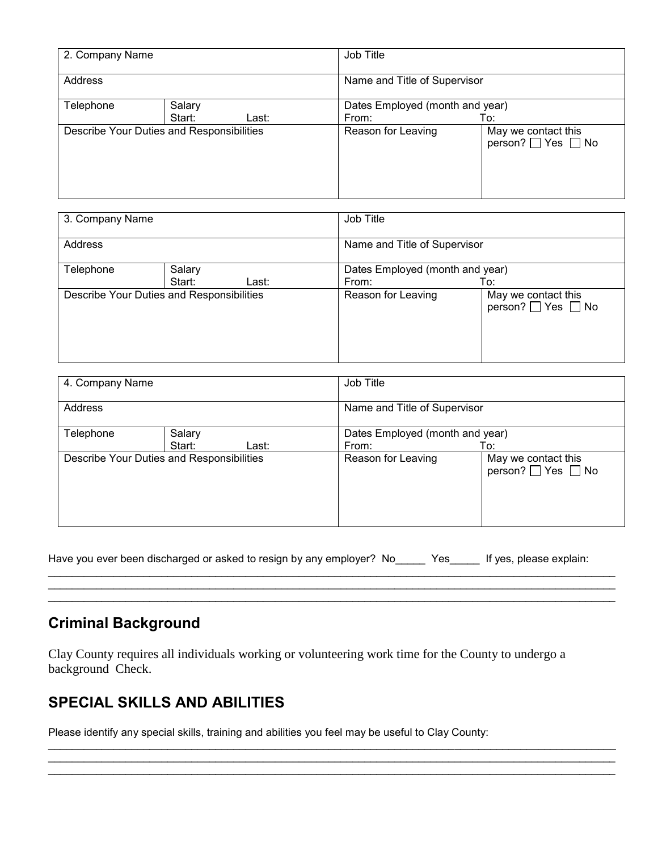| 2. Company Name     |                                           | Job Title                       |                                           |  |
|---------------------|-------------------------------------------|---------------------------------|-------------------------------------------|--|
| Address             |                                           | Name and Title of Supervisor    |                                           |  |
| Salary<br>Telephone |                                           | Dates Employed (month and year) |                                           |  |
|                     | Start:<br>Last:                           | From:                           | To:                                       |  |
|                     | Describe Your Duties and Responsibilities | Reason for Leaving              | May we contact this<br>person? □ Yes □ No |  |

| 3. Company Name                           |        | Job Title                       |                    |                                           |
|-------------------------------------------|--------|---------------------------------|--------------------|-------------------------------------------|
| Address                                   |        | Name and Title of Supervisor    |                    |                                           |
| Telephone<br>Salary                       |        | Dates Employed (month and year) |                    |                                           |
|                                           | Start: | Last:                           | From:              | To:                                       |
| Describe Your Duties and Responsibilities |        |                                 | Reason for Leaving | May we contact this<br>person? □ Yes □ No |

| 4. Company Name                           |        |                              | Job Title                       |                                           |  |
|-------------------------------------------|--------|------------------------------|---------------------------------|-------------------------------------------|--|
| Address                                   |        | Name and Title of Supervisor |                                 |                                           |  |
| Telephone                                 | Salary |                              | Dates Employed (month and year) |                                           |  |
|                                           | Start: | Last:                        | From:                           | To:                                       |  |
| Describe Your Duties and Responsibilities |        |                              | Reason for Leaving              | May we contact this<br>person? □ Yes □ No |  |

| Have you ever been discharged or asked to resign by any employer? No______ ` |  |  |  |  | Yes If yes, please explain: |
|------------------------------------------------------------------------------|--|--|--|--|-----------------------------|
|------------------------------------------------------------------------------|--|--|--|--|-----------------------------|

\_\_\_\_\_\_\_\_\_\_\_\_\_\_\_\_\_\_\_\_\_\_\_\_\_\_\_\_\_\_\_\_\_\_\_\_\_\_\_\_\_\_\_\_\_\_\_\_\_\_\_\_\_\_\_\_\_\_\_\_\_\_\_\_\_\_\_\_\_\_\_\_\_\_\_\_\_\_\_\_\_\_\_\_\_\_\_\_\_\_\_\_\_\_\_ \_\_\_\_\_\_\_\_\_\_\_\_\_\_\_\_\_\_\_\_\_\_\_\_\_\_\_\_\_\_\_\_\_\_\_\_\_\_\_\_\_\_\_\_\_\_\_\_\_\_\_\_\_\_\_\_\_\_\_\_\_\_\_\_\_\_\_\_\_\_\_\_\_\_\_\_\_\_\_\_\_\_\_\_\_\_\_\_\_\_\_\_\_\_\_ \_\_\_\_\_\_\_\_\_\_\_\_\_\_\_\_\_\_\_\_\_\_\_\_\_\_\_\_\_\_\_\_\_\_\_\_\_\_\_\_\_\_\_\_\_\_\_\_\_\_\_\_\_\_\_\_\_\_\_\_\_\_\_\_\_\_\_\_\_\_\_\_\_\_\_\_\_\_\_\_\_\_\_\_\_\_\_\_\_\_\_\_\_\_\_

\_\_\_\_\_\_\_\_\_\_\_\_\_\_\_\_\_\_\_\_\_\_\_\_\_\_\_\_\_\_\_\_\_\_\_\_\_\_\_\_\_\_\_\_\_\_\_\_\_\_\_\_\_\_\_\_\_\_\_\_\_\_\_\_\_\_\_\_\_\_\_\_\_\_\_\_\_\_\_\_\_\_\_\_\_\_\_\_\_\_\_\_\_\_\_ \_\_\_\_\_\_\_\_\_\_\_\_\_\_\_\_\_\_\_\_\_\_\_\_\_\_\_\_\_\_\_\_\_\_\_\_\_\_\_\_\_\_\_\_\_\_\_\_\_\_\_\_\_\_\_\_\_\_\_\_\_\_\_\_\_\_\_\_\_\_\_\_\_\_\_\_\_\_\_\_\_\_\_\_\_\_\_\_\_\_\_\_\_\_\_ \_\_\_\_\_\_\_\_\_\_\_\_\_\_\_\_\_\_\_\_\_\_\_\_\_\_\_\_\_\_\_\_\_\_\_\_\_\_\_\_\_\_\_\_\_\_\_\_\_\_\_\_\_\_\_\_\_\_\_\_\_\_\_\_\_\_\_\_\_\_\_\_\_\_\_\_\_\_\_\_\_\_\_\_\_\_\_\_\_\_\_\_\_\_\_

# **Criminal Background**

Clay County requires all individuals working or volunteering work time for the County to undergo a background Check.

## **SPECIAL SKILLS AND ABILITIES**

Please identify any special skills, training and abilities you feel may be useful to Clay County: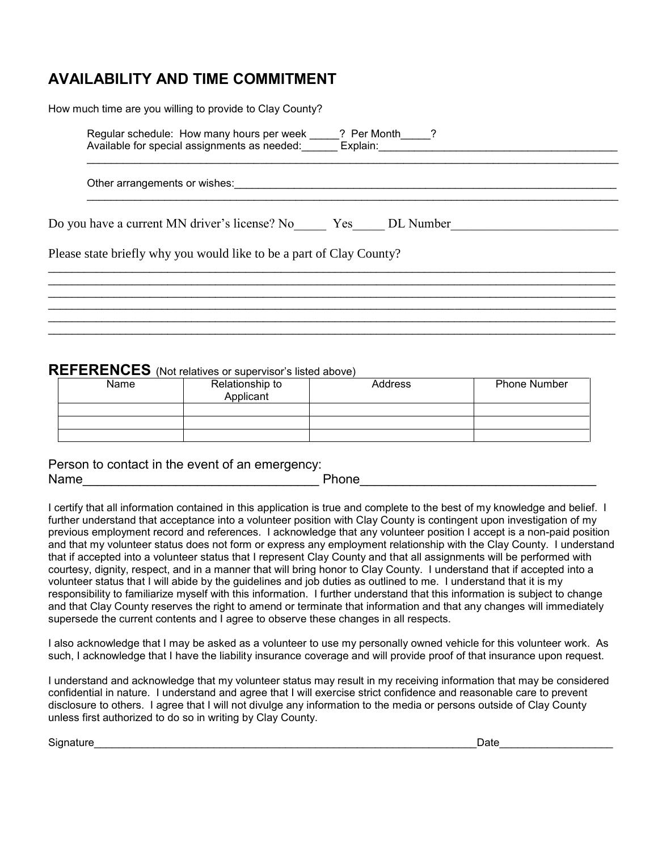# **AVAILABILITY AND TIME COMMITMENT**

How much time are you willing to provide to Clay County?

| Regular schedule: How many hours per week    | ? Per Month |  |
|----------------------------------------------|-------------|--|
| Available for special assignments as needed: | Explain:    |  |
|                                              |             |  |

\_\_\_\_\_\_\_\_\_\_\_\_\_\_\_\_\_\_\_\_\_\_\_\_\_\_\_\_\_\_\_\_\_\_\_\_\_\_\_\_\_\_\_\_\_\_\_\_\_\_\_\_\_\_\_\_\_\_\_\_\_\_\_\_\_\_\_\_\_\_\_\_\_\_\_\_\_\_\_\_\_\_\_\_\_\_\_\_\_

\_\_\_\_\_\_\_\_\_\_\_\_\_\_\_\_\_\_\_\_\_\_\_\_\_\_\_\_\_\_\_\_\_\_\_\_\_\_\_\_\_\_\_\_\_\_\_\_\_\_\_\_\_\_\_\_\_\_\_\_\_\_\_\_\_\_\_\_\_\_\_\_\_\_\_\_\_\_\_\_\_\_\_\_\_\_\_\_\_\_\_\_\_\_\_ \_\_\_\_\_\_\_\_\_\_\_\_\_\_\_\_\_\_\_\_\_\_\_\_\_\_\_\_\_\_\_\_\_\_\_\_\_\_\_\_\_\_\_\_\_\_\_\_\_\_\_\_\_\_\_\_\_\_\_\_\_\_\_\_\_\_\_\_\_\_\_\_\_\_\_\_\_\_\_\_\_\_\_\_\_\_\_\_\_\_\_\_\_\_\_ \_\_\_\_\_\_\_\_\_\_\_\_\_\_\_\_\_\_\_\_\_\_\_\_\_\_\_\_\_\_\_\_\_\_\_\_\_\_\_\_\_\_\_\_\_\_\_\_\_\_\_\_\_\_\_\_\_\_\_\_\_\_\_\_\_\_\_\_\_\_\_\_\_\_\_\_\_\_\_\_\_\_\_\_\_\_\_\_\_\_\_\_\_\_\_ \_\_\_\_\_\_\_\_\_\_\_\_\_\_\_\_\_\_\_\_\_\_\_\_\_\_\_\_\_\_\_\_\_\_\_\_\_\_\_\_\_\_\_\_\_\_\_\_\_\_\_\_\_\_\_\_\_\_\_\_\_\_\_\_\_\_\_\_\_\_\_\_\_\_\_\_\_\_\_\_\_\_\_\_\_\_\_\_\_\_\_\_\_\_\_ \_\_\_\_\_\_\_\_\_\_\_\_\_\_\_\_\_\_\_\_\_\_\_\_\_\_\_\_\_\_\_\_\_\_\_\_\_\_\_\_\_\_\_\_\_\_\_\_\_\_\_\_\_\_\_\_\_\_\_\_\_\_\_\_\_\_\_\_\_\_\_\_\_\_\_\_\_\_\_\_\_\_\_\_\_\_\_\_\_\_\_\_\_\_\_ \_\_\_\_\_\_\_\_\_\_\_\_\_\_\_\_\_\_\_\_\_\_\_\_\_\_\_\_\_\_\_\_\_\_\_\_\_\_\_\_\_\_\_\_\_\_\_\_\_\_\_\_\_\_\_\_\_\_\_\_\_\_\_\_\_\_\_\_\_\_\_\_\_\_\_\_\_\_\_\_\_\_\_\_\_\_\_\_\_\_\_\_\_\_\_

Other arrangements or wishes:\_\_\_\_\_\_\_\_\_\_\_\_\_\_\_\_\_\_\_\_\_\_\_\_\_\_\_\_\_\_\_\_\_\_\_\_\_\_\_\_\_\_\_\_\_\_\_\_\_\_\_\_\_\_\_\_\_\_\_\_\_\_\_\_

Do you have a current MN driver's license? No \_\_\_\_\_\_ Yes\_\_\_\_\_ DL Number

Please state briefly why you would like to be a part of Clay County?

#### **REFERENCES** (Not relatives or supervisor's listed above)

| Name | Relationship to<br>Applicant | Address | <b>Phone Number</b> |
|------|------------------------------|---------|---------------------|
|      |                              |         |                     |
|      |                              |         |                     |
|      |                              |         |                     |

Person to contact in the event of an emergency: Name\_\_\_\_\_\_\_\_\_\_\_\_\_\_\_\_\_\_\_\_\_\_\_\_\_\_\_\_\_\_\_\_\_ Phone\_\_\_\_\_\_\_\_\_\_\_\_\_\_\_\_\_\_\_\_\_\_\_\_\_\_\_\_\_\_\_\_\_

I certify that all information contained in this application is true and complete to the best of my knowledge and belief. I further understand that acceptance into a volunteer position with Clay County is contingent upon investigation of my previous employment record and references. I acknowledge that any volunteer position I accept is a non-paid position and that my volunteer status does not form or express any employment relationship with the Clay County. I understand that if accepted into a volunteer status that I represent Clay County and that all assignments will be performed with courtesy, dignity, respect, and in a manner that will bring honor to Clay County. I understand that if accepted into a volunteer status that I will abide by the guidelines and job duties as outlined to me. I understand that it is my responsibility to familiarize myself with this information. I further understand that this information is subject to change and that Clay County reserves the right to amend or terminate that information and that any changes will immediately supersede the current contents and I agree to observe these changes in all respects.

I also acknowledge that I may be asked as a volunteer to use my personally owned vehicle for this volunteer work. As such, I acknowledge that I have the liability insurance coverage and will provide proof of that insurance upon request.

I understand and acknowledge that my volunteer status may result in my receiving information that may be considered confidential in nature. I understand and agree that I will exercise strict confidence and reasonable care to prevent disclosure to others. I agree that I will not divulge any information to the media or persons outside of Clay County unless first authorized to do so in writing by Clay County.

Signature\_\_\_\_\_\_\_\_\_\_\_\_\_\_\_\_\_\_\_\_\_\_\_\_\_\_\_\_\_\_\_\_\_\_\_\_\_\_\_\_\_\_\_\_\_\_\_\_\_\_\_\_\_\_\_\_\_\_\_\_\_\_\_\_Date\_\_\_\_\_\_\_\_\_\_\_\_\_\_\_\_\_\_\_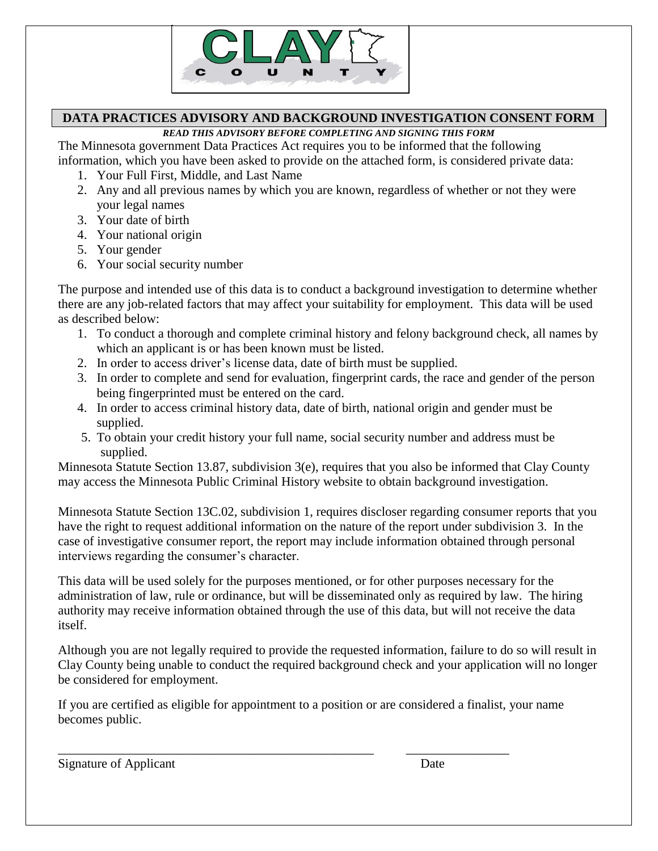

### **DATA PRACTICES ADVISORY AND BACKGROUND INVESTIGATION CONSENT FORM**

*READ THIS ADVISORY BEFORE COMPLETING AND SIGNING THIS FORM* 

The Minnesota government Data Practices Act requires you to be informed that the following information, which you have been asked to provide on the attached form, is considered private data:

- 1. Your Full First, Middle, and Last Name
- 2. Any and all previous names by which you are known, regardless of whether or not they were your legal names
- 3. Your date of birth
- 4. Your national origin
- 5. Your gender
- 6. Your social security number

The purpose and intended use of this data is to conduct a background investigation to determine whether there are any job-related factors that may affect your suitability for employment. This data will be used as described below:

- 1. To conduct a thorough and complete criminal history and felony background check, all names by which an applicant is or has been known must be listed.
- 2. In order to access driver's license data, date of birth must be supplied.
- 3. In order to complete and send for evaluation, fingerprint cards, the race and gender of the person being fingerprinted must be entered on the card.
- 4. In order to access criminal history data, date of birth, national origin and gender must be supplied.
- 5. To obtain your credit history your full name, social security number and address must be supplied.

Minnesota Statute Section 13.87, subdivision 3(e), requires that you also be informed that Clay County may access the Minnesota Public Criminal History website to obtain background investigation.

Minnesota Statute Section 13C.02, subdivision 1, requires discloser regarding consumer reports that you have the right to request additional information on the nature of the report under subdivision 3. In the case of investigative consumer report, the report may include information obtained through personal interviews regarding the consumer's character.

This data will be used solely for the purposes mentioned, or for other purposes necessary for the administration of law, rule or ordinance, but will be disseminated only as required by law. The hiring authority may receive information obtained through the use of this data, but will not receive the data itself.

Although you are not legally required to provide the requested information, failure to do so will result in Clay County being unable to conduct the required background check and your application will no longer be considered for employment.

If you are certified as eligible for appointment to a position or are considered a finalist, your name becomes public.

\_\_\_\_\_\_\_\_\_\_\_\_\_\_\_\_\_\_\_\_\_\_\_\_\_\_\_\_\_\_\_\_\_\_\_\_\_\_\_\_\_\_\_\_\_\_\_\_\_ \_\_\_\_\_\_\_\_\_\_\_\_\_\_\_\_

Signature of Applicant Date